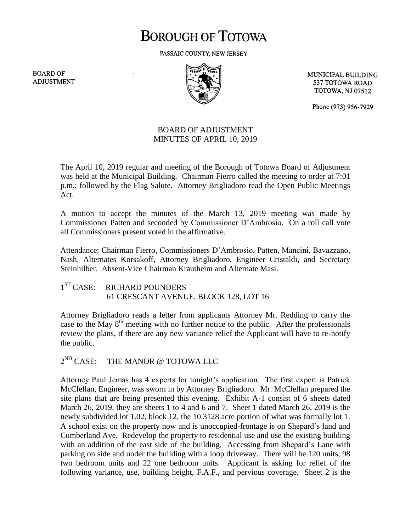# **BOROUGH OF TOTOWA**

PASSAIC COUNTY, NEW JERSEY

**BOARD OF ADJUSTMENT** 



MUNICIPAL BUILDING 537 TOTOWA ROAD **TOTOWA, NJ 07512** 

Phone (973) 956-7929

## BOARD OF ADJUSTMENT MINUTES OF APRIL 10, 2019

The April 10, 2019 regular and meeting of the Borough of Totowa Board of Adjustment was held at the Municipal Building. Chairman Fierro called the meeting to order at 7:01 p.m.; followed by the Flag Salute. Attorney Brigliadoro read the Open Public Meetings Act.

A motion to accept the minutes of the March 13, 2019 meeting was made by Commissioner Patten and seconded by Commissioner D'Ambrosio. On a roll call vote all Commissioners present voted in the affirmative.

Attendance: Chairman Fierro, Commissioners D'Ambrosio, Patten, Mancini, Bavazzano, Nash, Alternates Korsakoff, Attorney Brigliadoro, Engineer Cristaldi, and Secretary Steinhilber. Absent-Vice Chairman Krautheim and Alternate Masi.

#### $1<sup>ST</sup> CASE:$ RICHARD POUNDERS 61 CRESCANT AVENUE, BLOCK 128, LOT 16

Attorney Brigliadoro reads a letter from applicants Attorney Mr. Redding to carry the case to the May  $8<sup>th</sup>$  meeting with no further notice to the public. After the professionals review the plans, if there are any new variance relief the Applicant will have to re-notify the public.

 $2^{ND}$  CASE: THE MANOR @ TOTOWA LLC

Attorney Paul Jemas has 4 experts for tonight's application. The first expert is Patrick McClellan, Engineer, was sworn in by Attorney Brigliadoro. Mr. McClellan prepared the site plans that are being presented this evening. Exhibit A-1 consist of 6 sheets dated March 26, 2019, they are sheets 1 to 4 and 6 and 7. Sheet 1 dated March 26, 2019 is the newly subdivided lot 1.02, block 12, the 10.3128 acre portion of what was formally lot 1. A school exist on the property now and is unoccupied-frontage is on Shepard's land and Cumberland Ave. Redevelop the property to residential use and use the existing building with an addition of the east side of the building. Accessing from Shepard's Lane with parking on side and under the building with a loop driveway. There will be 120 units, 98 two bedroom units and 22 one bedroom units. Applicant is asking for relief of the following variance, use, building height, F.A.F., and pervious coverage. Sheet 2 is the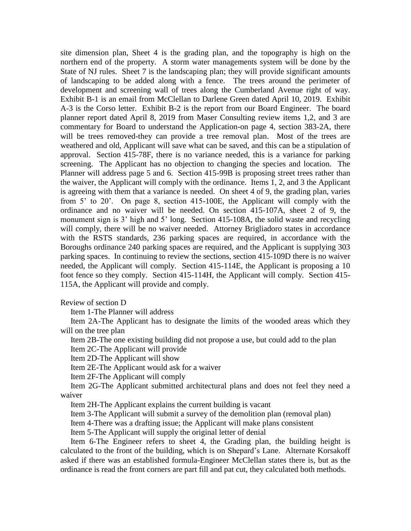site dimension plan, Sheet 4 is the grading plan, and the topography is high on the northern end of the property. A storm water managements system will be done by the State of NJ rules. Sheet 7 is the landscaping plan; they will provide significant amounts of landscaping to be added along with a fence. The trees around the perimeter of development and screening wall of trees along the Cumberland Avenue right of way. Exhibit B-1 is an email from McClellan to Darlene Green dated April 10, 2019. Exhibit A-3 is the Corso letter. Exhibit B-2 is the report from our Board Engineer. The board planner report dated April 8, 2019 from Maser Consulting review items 1,2, and 3 are commentary for Board to understand the Application-on page 4, section 383-2A, there will be trees removed-they can provide a tree removal plan. Most of the trees are weathered and old, Applicant will save what can be saved, and this can be a stipulation of approval. Section 415-78F, there is no variance needed, this is a variance for parking screening. The Applicant has no objection to changing the species and location. The Planner will address page 5 and 6. Section 415-99B is proposing street trees rather than the waiver, the Applicant will comply with the ordinance. Items 1, 2, and 3 the Applicant is agreeing with them that a variance is needed. On sheet 4 of 9, the grading plan, varies from 5' to 20'. On page 8, section 415-100E, the Applicant will comply with the ordinance and no waiver will be needed. On section 415-107A, sheet 2 of 9, the monument sign is 3' high and 5' long. Section 415-108A, the solid waste and recycling will comply, there will be no waiver needed. Attorney Brigliadoro states in accordance with the RSTS standards, 236 parking spaces are required, in accordance with the Boroughs ordinance 240 parking spaces are required, and the Applicant is supplying 303 parking spaces. In continuing to review the sections, section 415-109D there is no waiver needed, the Applicant will comply. Section 415-114E, the Applicant is proposing a 10 foot fence so they comply. Section 415-114H, the Applicant will comply. Section 415- 115A, the Applicant will provide and comply.

Review of section D

Item 1-The Planner will address

 Item 2A-The Applicant has to designate the limits of the wooded areas which they will on the tree plan

 Item 2B-The one existing building did not propose a use, but could add to the plan Item 2C-The Applicant will provide

Item 2D-The Applicant will show

Item 2E-The Applicant would ask for a waiver

Item 2F-The Applicant will comply

 Item 2G-The Applicant submitted architectural plans and does not feel they need a waiver

Item 2H-The Applicant explains the current building is vacant

Item 3-The Applicant will submit a survey of the demolition plan (removal plan)

Item 4-There was a drafting issue; the Applicant will make plans consistent

Item 5-The Applicant will supply the original letter of denial

 Item 6-The Engineer refers to sheet 4, the Grading plan, the building height is calculated to the front of the building, which is on Shepard's Lane. Alternate Korsakoff asked if there was an established formula-Engineer McClellan states there is, but as the ordinance is read the front corners are part fill and pat cut, they calculated both methods.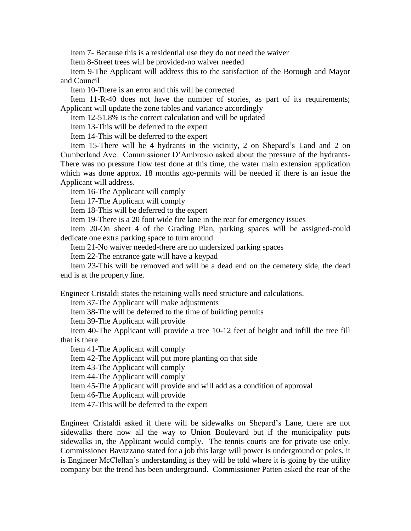Item 7- Because this is a residential use they do not need the waiver

Item 8-Street trees will be provided-no waiver needed

 Item 9-The Applicant will address this to the satisfaction of the Borough and Mayor and Council

Item 10-There is an error and this will be corrected

 Item 11-R-40 does not have the number of stories, as part of its requirements; Applicant will update the zone tables and variance accordingly

Item 12-51.8% is the correct calculation and will be updated

Item 13-This will be deferred to the expert

Item 14-This will be deferred to the expert

 Item 15-There will be 4 hydrants in the vicinity, 2 on Shepard's Land and 2 on Cumberland Ave. Commissioner D'Ambrosio asked about the pressure of the hydrants-There was no pressure flow test done at this time, the water main extension application which was done approx. 18 months ago-permits will be needed if there is an issue the Applicant will address.

Item 16-The Applicant will comply

Item 17-The Applicant will comply

Item 18-This will be deferred to the expert

Item 19-There is a 20 foot wide fire lane in the rear for emergency issues

 Item 20-On sheet 4 of the Grading Plan, parking spaces will be assigned-could dedicate one extra parking space to turn around

Item 21-No waiver needed-there are no undersized parking spaces

Item 22-The entrance gate will have a keypad

 Item 23-This will be removed and will be a dead end on the cemetery side, the dead end is at the property line.

Engineer Cristaldi states the retaining walls need structure and calculations.

Item 37-The Applicant will make adjustments

Item 38-The will be deferred to the time of building permits

Item 39-The Applicant will provide

 Item 40-The Applicant will provide a tree 10-12 feet of height and infill the tree fill that is there

Item 41-The Applicant will comply

Item 42-The Applicant will put more planting on that side

Item 43-The Applicant will comply

Item 44-The Applicant will comply

Item 45-The Applicant will provide and will add as a condition of approval

Item 46-The Applicant will provide

Item 47-This will be deferred to the expert

Engineer Cristaldi asked if there will be sidewalks on Shepard's Lane, there are not sidewalks there now all the way to Union Boulevard but if the municipality puts sidewalks in, the Applicant would comply. The tennis courts are for private use only. Commissioner Bavazzano stated for a job this large will power is underground or poles, it is Engineer McClellan's understanding is they will be told where it is going by the utility company but the trend has been underground. Commissioner Patten asked the rear of the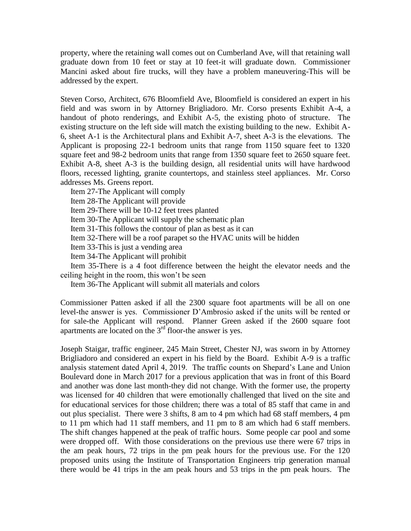property, where the retaining wall comes out on Cumberland Ave, will that retaining wall graduate down from 10 feet or stay at 10 feet-it will graduate down. Commissioner Mancini asked about fire trucks, will they have a problem maneuvering-This will be addressed by the expert.

Steven Corso, Architect, 676 Bloomfield Ave, Bloomfield is considered an expert in his field and was sworn in by Attorney Brigliadoro. Mr. Corso presents Exhibit A-4, a handout of photo renderings, and Exhibit A-5, the existing photo of structure. The existing structure on the left side will match the existing building to the new. Exhibit A-6, sheet A-1 is the Architectural plans and Exhibit A-7, sheet A-3 is the elevations. The Applicant is proposing 22-1 bedroom units that range from 1150 square feet to 1320 square feet and 98-2 bedroom units that range from 1350 square feet to 2650 square feet. Exhibit A-8, sheet A-3 is the building design, all residential units will have hardwood floors, recessed lighting, granite countertops, and stainless steel appliances. Mr. Corso addresses Ms. Greens report.

Item 27-The Applicant will comply

Item 28-The Applicant will provide

Item 29-There will be 10-12 feet trees planted

Item 30-The Applicant will supply the schematic plan

Item 31-This follows the contour of plan as best as it can

Item 32-There will be a roof parapet so the HVAC units will be hidden

Item 33-This is just a vending area

Item 34-The Applicant will prohibit

 Item 35-There is a 4 foot difference between the height the elevator needs and the ceiling height in the room, this won't be seen

Item 36-The Applicant will submit all materials and colors

Commissioner Patten asked if all the 2300 square foot apartments will be all on one level-the answer is yes. Commissioner D'Ambrosio asked if the units will be rented or for sale-the Applicant will respond. Planner Green asked if the 2600 square foot apartments are located on the  $3<sup>rd</sup>$  floor-the answer is yes.

Joseph Staigar, traffic engineer, 245 Main Street, Chester NJ, was sworn in by Attorney Brigliadoro and considered an expert in his field by the Board. Exhibit A-9 is a traffic analysis statement dated April 4, 2019. The traffic counts on Shepard's Lane and Union Boulevard done in March 2017 for a previous application that was in front of this Board and another was done last month-they did not change. With the former use, the property was licensed for 40 children that were emotionally challenged that lived on the site and for educational services for those children; there was a total of 85 staff that came in and out plus specialist. There were 3 shifts, 8 am to 4 pm which had 68 staff members, 4 pm to 11 pm which had 11 staff members, and 11 pm to 8 am which had 6 staff members. The shift changes happened at the peak of traffic hours. Some people car pool and some were dropped off. With those considerations on the previous use there were 67 trips in the am peak hours, 72 trips in the pm peak hours for the previous use. For the 120 proposed units using the Institute of Transportation Engineers trip generation manual there would be 41 trips in the am peak hours and 53 trips in the pm peak hours. The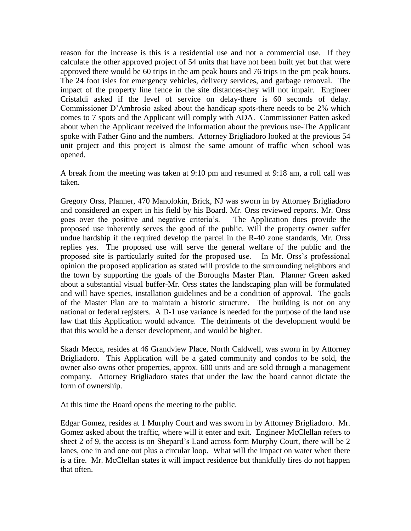reason for the increase is this is a residential use and not a commercial use. If they calculate the other approved project of 54 units that have not been built yet but that were approved there would be 60 trips in the am peak hours and 76 trips in the pm peak hours. The 24 foot isles for emergency vehicles, delivery services, and garbage removal. The impact of the property line fence in the site distances-they will not impair. Engineer Cristaldi asked if the level of service on delay-there is 60 seconds of delay. Commissioner D'Ambrosio asked about the handicap spots-there needs to be 2% which comes to 7 spots and the Applicant will comply with ADA. Commissioner Patten asked about when the Applicant received the information about the previous use-The Applicant spoke with Father Gino and the numbers. Attorney Brigliadoro looked at the previous 54 unit project and this project is almost the same amount of traffic when school was opened.

A break from the meeting was taken at 9:10 pm and resumed at 9:18 am, a roll call was taken.

Gregory Orss, Planner, 470 Manolokin, Brick, NJ was sworn in by Attorney Brigliadoro and considered an expert in his field by his Board. Mr. Orss reviewed reports. Mr. Orss goes over the positive and negative criteria's. The Application does provide the proposed use inherently serves the good of the public. Will the property owner suffer undue hardship if the required develop the parcel in the R-40 zone standards, Mr. Orss replies yes. The proposed use will serve the general welfare of the public and the proposed site is particularly suited for the proposed use. In Mr. Orss's professional opinion the proposed application as stated will provide to the surrounding neighbors and the town by supporting the goals of the Boroughs Master Plan. Planner Green asked about a substantial visual buffer-Mr. Orss states the landscaping plan will be formulated and will have species, installation guidelines and be a condition of approval. The goals of the Master Plan are to maintain a historic structure. The building is not on any national or federal registers. A D-1 use variance is needed for the purpose of the land use law that this Application would advance. The detriments of the development would be that this would be a denser development, and would be higher.

Skadr Mecca, resides at 46 Grandview Place, North Caldwell, was sworn in by Attorney Brigliadoro. This Application will be a gated community and condos to be sold, the owner also owns other properties, approx. 600 units and are sold through a management company. Attorney Brigliadoro states that under the law the board cannot dictate the form of ownership.

At this time the Board opens the meeting to the public.

Edgar Gomez, resides at 1 Murphy Court and was sworn in by Attorney Brigliadoro. Mr. Gomez asked about the traffic, where will it enter and exit. Engineer McClellan refers to sheet 2 of 9, the access is on Shepard's Land across form Murphy Court, there will be 2 lanes, one in and one out plus a circular loop. What will the impact on water when there is a fire. Mr. McClellan states it will impact residence but thankfully fires do not happen that often.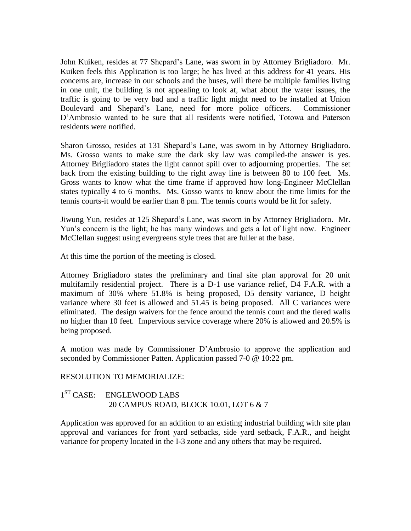John Kuiken, resides at 77 Shepard's Lane, was sworn in by Attorney Brigliadoro. Mr. Kuiken feels this Application is too large; he has lived at this address for 41 years. His concerns are, increase in our schools and the buses, will there be multiple families living in one unit, the building is not appealing to look at, what about the water issues, the traffic is going to be very bad and a traffic light might need to be installed at Union Boulevard and Shepard's Lane, need for more police officers. Commissioner D'Ambrosio wanted to be sure that all residents were notified, Totowa and Paterson residents were notified.

Sharon Grosso, resides at 131 Shepard's Lane, was sworn in by Attorney Brigliadoro. Ms. Grosso wants to make sure the dark sky law was compiled-the answer is yes. Attorney Brigliadoro states the light cannot spill over to adjourning properties. The set back from the existing building to the right away line is between 80 to 100 feet. Ms. Gross wants to know what the time frame if approved how long-Engineer McClellan states typically 4 to 6 months. Ms. Gosso wants to know about the time limits for the tennis courts-it would be earlier than 8 pm. The tennis courts would be lit for safety.

Jiwung Yun, resides at 125 Shepard's Lane, was sworn in by Attorney Brigliadoro. Mr. Yun's concern is the light; he has many windows and gets a lot of light now. Engineer McClellan suggest using evergreens style trees that are fuller at the base.

At this time the portion of the meeting is closed.

Attorney Brigliadoro states the preliminary and final site plan approval for 20 unit multifamily residential project. There is a D-1 use variance relief, D4 F.A.R. with a maximum of 30% where 51.8% is being proposed, D5 density variance, D height variance where 30 feet is allowed and 51.45 is being proposed. All C variances were eliminated. The design waivers for the fence around the tennis court and the tiered walls no higher than 10 feet. Impervious service coverage where 20% is allowed and 20.5% is being proposed.

A motion was made by Commissioner D'Ambrosio to approve the application and seconded by Commissioner Patten. Application passed 7-0 @ 10:22 pm.

### RESOLUTION TO MEMORIALIZE:

# 1<sup>ST</sup> CASE: ENGLEWOOD LABS 20 CAMPUS ROAD, BLOCK 10.01, LOT 6 & 7

Application was approved for an addition to an existing industrial building with site plan approval and variances for front yard setbacks, side yard setback, F.A.R., and height variance for property located in the I-3 zone and any others that may be required.